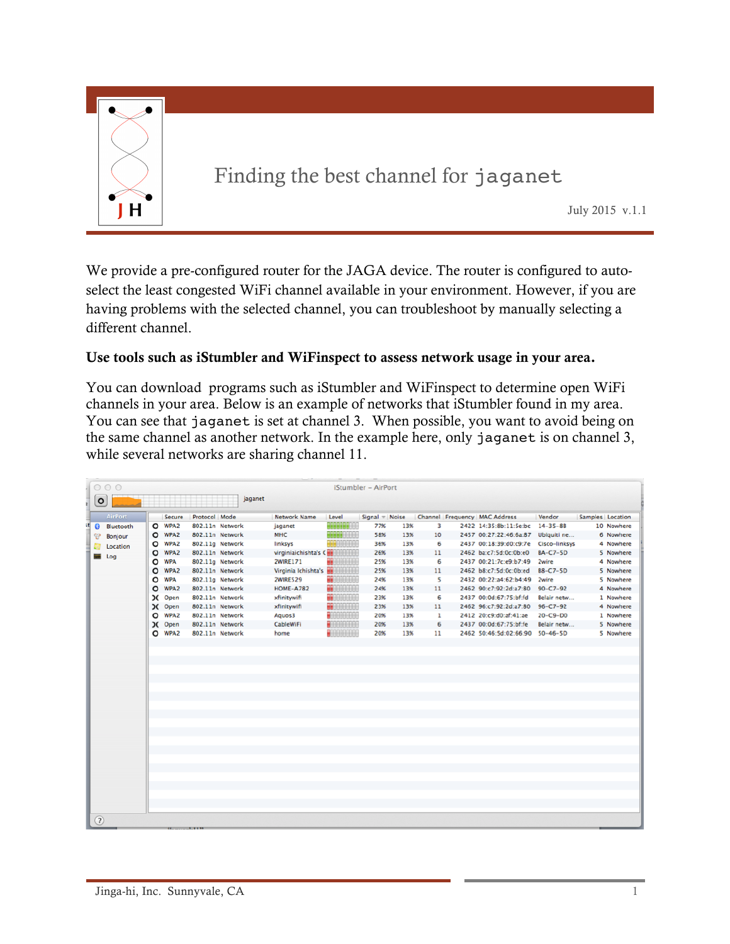

We provide a pre-configured router for the JAGA device. The router is configured to autoselect the least congested WiFi channel available in your environment. However, if you are having problems with the selected channel, you can troubleshoot by manually selecting a different channel.

## Use tools such as iStumbler and WiFinspect to assess network usage in your area.

You can download programs such as iStumbler and WiFinspect to determine open WiFi channels in your area. Below is an example of networks that iStumbler found in my area. You can see that jaganet is set at channel 3. When possible, you want to avoid being on the same channel as another network. In the example here, only jaganet is on channel 3, while several networks are sharing channel 11.

| <b>AirPort</b>         |         | <b>Secure</b>    | Protocol Mode   |                 | Network Name                          | Level                | Signal $\pi$ Noise |     |    | Channel Frequency MAC Address        | Vendor          | Samples Location |            |
|------------------------|---------|------------------|-----------------|-----------------|---------------------------------------|----------------------|--------------------|-----|----|--------------------------------------|-----------------|------------------|------------|
| $\Omega$<br>Bluetooth  |         | O WPA2           | 802.11n Network |                 | jaganet                               | <b>CHRISTIAN COL</b> | 77%                | 13% | 3  | 2422 14:35:8b:11:5e:bc               | $14 - 35 - 8B$  |                  | 10 Nowhere |
| Bonjour<br>೪           |         | O WPA2           |                 | 802.11n Network | <b>MHC</b>                            | ннне                 | 58%                | 13% | 10 | 2457 00:27:22:46:6a:87               | Ubiquiti ne     |                  | 6 Nowhere  |
| Location               | o       | <b>WPA2</b>      |                 | 802.11g Network | linksys                               | <b>SARAANAAN</b>     | 36%                | 13% | 6  | 2437 00:18:39:d0:c9:7e Cisco-linksys |                 |                  | 4 Nowhere  |
| <b>Contract</b><br>Log | O       | WPA <sub>2</sub> |                 | 802.11n Network | virginiaichishta's CHE                |                      | 26%                | 13% | 11 | 2462 ba:c7:5d:0c:0b:e0               | <b>BA-C7-5D</b> |                  | 5 Nowhere  |
|                        | O       | <b>WPA</b>       |                 | 802.11g Network | 2WIRE171                              | m<br>-000000         | 25%                | 13% | 6  | 2437 00:21:7c:e9:b7:49               | <b>2wire</b>    |                  | 4 Nowhere  |
|                        | $\circ$ | WPA <sub>2</sub> |                 | 802.11n Network | Virginia Ichishta's <b>HARRITANIA</b> |                      | 25%                | 13% | 11 | 2462 b8:c7:5d:0c:0b:ed               | $B8-C7-SD$      |                  | 5 Nowhere  |
|                        | $\circ$ | <b>WPA</b>       |                 | 802.11g Network | <b>2WIRE529</b>                       | $-0.0000000$         | 24%                | 13% | 5  | 2432 00:22:a4:62:b4:49               | <b>2wire</b>    |                  | 5 Nowhere  |
|                        | $\circ$ | WPA2             |                 | 802.11n Network | <b>HOME-A782</b>                      | <b>BERGHARD</b>      | 24%                | 13% | 11 | 2462 90:c7:92:2d:a7:80               | $90 - C7 - 92$  |                  | 4 Nowhere  |
|                        |         | <b>C</b> Open    |                 | 802.11n Network | xfinitywifi                           | <b>THE GEOGRAPH</b>  | 23%                | 13% | 6  | 2437 00:0d:67:75:bf:fd               | Belair netw     |                  | 1 Nowhere  |
|                        |         | IC Open          |                 | 802.11n Network | xfinitywifi                           | <b>BU</b> HARRING    | 23%                | 13% | 11 | 2462 96:c7:92:2d:a7:80               | $96 - C7 - 92$  |                  | 4 Nowhere  |
|                        | $\circ$ | WPA <sub>2</sub> |                 | 802.11n Network | Aquos3                                | $+10000000$          | 20%                | 13% | 1  | 2412 20:c9:d0:af:41:ae               | $20 - C9 - D0$  |                  | 1 Nowhere  |
|                        |         | IC Open          |                 | 802.11n Network | CableWiFi                             | <b>PRODUCTS</b>      | 20%                | 13% | 6  | 2437 00:0d:67:75:bf:fe               | Belair netw     |                  | 5 Nowhere  |
|                        |         | O WPA2           |                 | 802.11n Network | home                                  |                      | 20%                | 13% | 11 | 2462 50:46:5d:02:66:90 50-46-5D      |                 |                  | 5 Nowhere  |
|                        |         |                  |                 |                 |                                       |                      |                    |     |    |                                      |                 |                  |            |